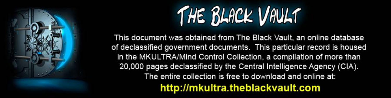

This document was obtained from The Black Vault, an online database of declassified government documents. This particular record is housed in the MKULTRA/Mind Control Collection, a compilation of more than 20,000 pages declassified by the Central Intelligence Agency (CIA). The entire collection is free to download and online at: http://mkultra.theblackvault.com